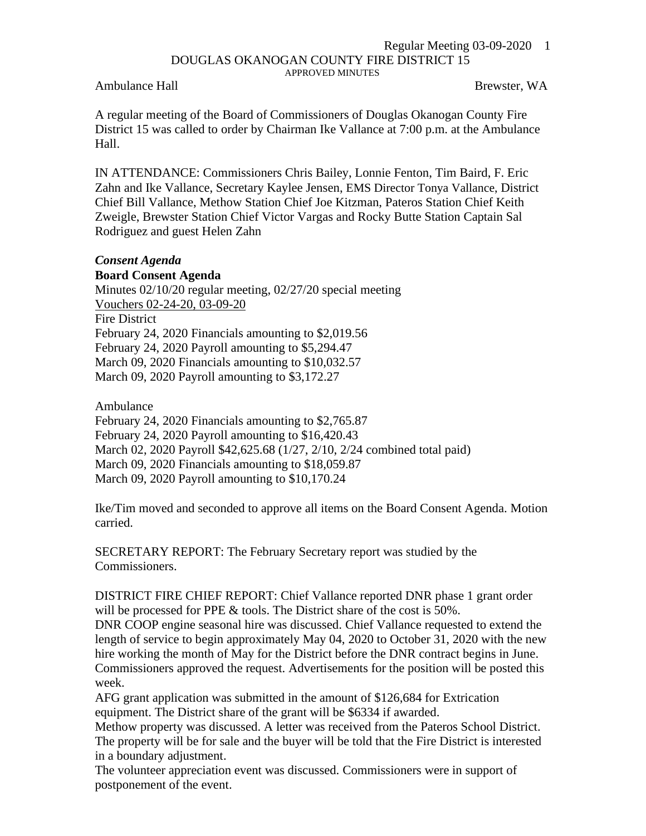## Regular Meeting 03-09-2020 1 DOUGLAS OKANOGAN COUNTY FIRE DISTRICT 15 APPROVED MINUTES

Ambulance Hall **Brewster, WA** 

A regular meeting of the Board of Commissioners of Douglas Okanogan County Fire District 15 was called to order by Chairman Ike Vallance at 7:00 p.m. at the Ambulance Hall.

IN ATTENDANCE: Commissioners Chris Bailey, Lonnie Fenton, Tim Baird, F. Eric Zahn and Ike Vallance, Secretary Kaylee Jensen, EMS Director Tonya Vallance, District Chief Bill Vallance, Methow Station Chief Joe Kitzman, Pateros Station Chief Keith Zweigle, Brewster Station Chief Victor Vargas and Rocky Butte Station Captain Sal Rodriguez and guest Helen Zahn

## *Consent Agenda*

**Board Consent Agenda** Minutes 02/10/20 regular meeting, 02/27/20 special meeting Vouchers 02-24-20, 03-09-20 Fire District February 24, 2020 Financials amounting to \$2,019.56 February 24, 2020 Payroll amounting to \$5,294.47 March 09, 2020 Financials amounting to \$10,032.57 March 09, 2020 Payroll amounting to \$3,172.27

Ambulance

February 24, 2020 Financials amounting to \$2,765.87

February 24, 2020 Payroll amounting to \$16,420.43

March 02, 2020 Payroll \$42,625.68 (1/27, 2/10, 2/24 combined total paid)

March 09, 2020 Financials amounting to \$18,059.87

March 09, 2020 Payroll amounting to \$10,170.24

Ike/Tim moved and seconded to approve all items on the Board Consent Agenda. Motion carried.

SECRETARY REPORT: The February Secretary report was studied by the Commissioners.

DISTRICT FIRE CHIEF REPORT: Chief Vallance reported DNR phase 1 grant order will be processed for PPE & tools. The District share of the cost is 50%.

DNR COOP engine seasonal hire was discussed. Chief Vallance requested to extend the length of service to begin approximately May 04, 2020 to October 31, 2020 with the new hire working the month of May for the District before the DNR contract begins in June. Commissioners approved the request. Advertisements for the position will be posted this week.

AFG grant application was submitted in the amount of \$126,684 for Extrication equipment. The District share of the grant will be \$6334 if awarded.

Methow property was discussed. A letter was received from the Pateros School District. The property will be for sale and the buyer will be told that the Fire District is interested in a boundary adjustment.

The volunteer appreciation event was discussed. Commissioners were in support of postponement of the event.